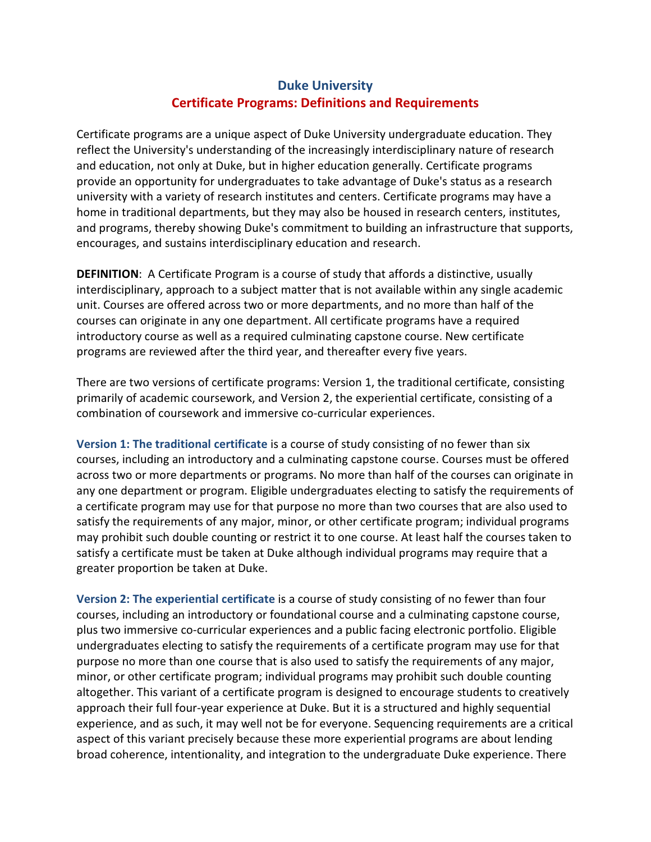## Duke University Certificate Programs: Definitions and Requirements

Certificate programs are a unique aspect of Duke University undergraduate education. They reflect the University's understanding of the increasingly interdisciplinary nature of research and education, not only at Duke, but in higher education generally. Certificate programs provide an opportunity for undergraduates to take advantage of Duke's status as a research university with a variety of research institutes and centers. Certificate programs may have a home in traditional departments, but they may also be housed in research centers, institutes, and programs, thereby showing Duke's commitment to building an infrastructure that supports, encourages, and sustains interdisciplinary education and research.

DEFINITION: A Certificate Program is a course of study that affords a distinctive, usually interdisciplinary, approach to a subject matter that is not available within any single academic unit. Courses are offered across two or more departments, and no more than half of the courses can originate in any one department. All certificate programs have a required introductory course as well as a required culminating capstone course. New certificate programs are reviewed after the third year, and thereafter every five years.

There are two versions of certificate programs: Version 1, the traditional certificate, consisting primarily of academic coursework, and Version 2, the experiential certificate, consisting of a combination of coursework and immersive co-curricular experiences.

Version 1: The traditional certificate is a course of study consisting of no fewer than six courses, including an introductory and a culminating capstone course. Courses must be offered across two or more departments or programs. No more than half of the courses can originate in any one department or program. Eligible undergraduates electing to satisfy the requirements of a certificate program may use for that purpose no more than two courses that are also used to satisfy the requirements of any major, minor, or other certificate program; individual programs may prohibit such double counting or restrict it to one course. At least half the courses taken to satisfy a certificate must be taken at Duke although individual programs may require that a greater proportion be taken at Duke.

Version 2: The experiential certificate is a course of study consisting of no fewer than four courses, including an introductory or foundational course and a culminating capstone course, plus two immersive co-curricular experiences and a public facing electronic portfolio. Eligible undergraduates electing to satisfy the requirements of a certificate program may use for that purpose no more than one course that is also used to satisfy the requirements of any major, minor, or other certificate program; individual programs may prohibit such double counting altogether. This variant of a certificate program is designed to encourage students to creatively approach their full four-year experience at Duke. But it is a structured and highly sequential experience, and as such, it may well not be for everyone. Sequencing requirements are a critical aspect of this variant precisely because these more experiential programs are about lending broad coherence, intentionality, and integration to the undergraduate Duke experience. There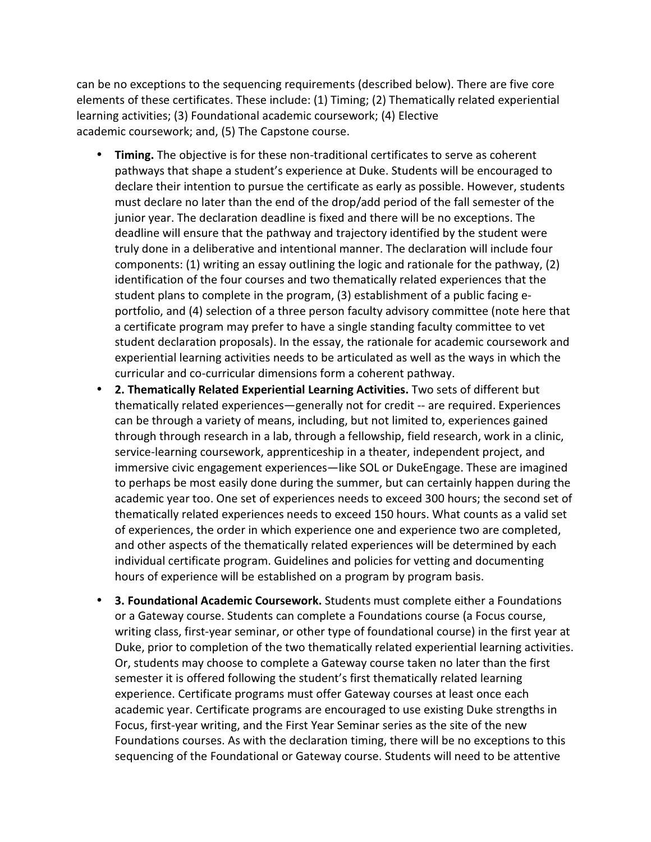can be no exceptions to the sequencing requirements (described below). There are five core elements of these certificates. These include: (1) Timing; (2) Thematically related experiential learning activities; (3) Foundational academic coursework; (4) Elective academic coursework; and, (5) The Capstone course.

- Timing. The objective is for these non-traditional certificates to serve as coherent pathways that shape a student's experience at Duke. Students will be encouraged to declare their intention to pursue the certificate as early as possible. However, students must declare no later than the end of the drop/add period of the fall semester of the junior year. The declaration deadline is fixed and there will be no exceptions. The deadline will ensure that the pathway and trajectory identified by the student were truly done in a deliberative and intentional manner. The declaration will include four components: (1) writing an essay outlining the logic and rationale for the pathway, (2) identification of the four courses and two thematically related experiences that the student plans to complete in the program, (3) establishment of a public facing eportfolio, and (4) selection of a three person faculty advisory committee (note here that a certificate program may prefer to have a single standing faculty committee to vet student declaration proposals). In the essay, the rationale for academic coursework and experiential learning activities needs to be articulated as well as the ways in which the curricular and co-curricular dimensions form a coherent pathway.
- 2. Thematically Related Experiential Learning Activities. Two sets of different but thematically related experiences—generally not for credit -- are required. Experiences can be through a variety of means, including, but not limited to, experiences gained through through research in a lab, through a fellowship, field research, work in a clinic, service-learning coursework, apprenticeship in a theater, independent project, and immersive civic engagement experiences—like SOL or DukeEngage. These are imagined to perhaps be most easily done during the summer, but can certainly happen during the academic year too. One set of experiences needs to exceed 300 hours; the second set of thematically related experiences needs to exceed 150 hours. What counts as a valid set of experiences, the order in which experience one and experience two are completed, and other aspects of the thematically related experiences will be determined by each individual certificate program. Guidelines and policies for vetting and documenting hours of experience will be established on a program by program basis.
- 3. Foundational Academic Coursework. Students must complete either a Foundations or a Gateway course. Students can complete a Foundations course (a Focus course, writing class, first-year seminar, or other type of foundational course) in the first year at Duke, prior to completion of the two thematically related experiential learning activities. Or, students may choose to complete a Gateway course taken no later than the first semester it is offered following the student's first thematically related learning experience. Certificate programs must offer Gateway courses at least once each academic year. Certificate programs are encouraged to use existing Duke strengths in Focus, first-year writing, and the First Year Seminar series as the site of the new Foundations courses. As with the declaration timing, there will be no exceptions to this sequencing of the Foundational or Gateway course. Students will need to be attentive